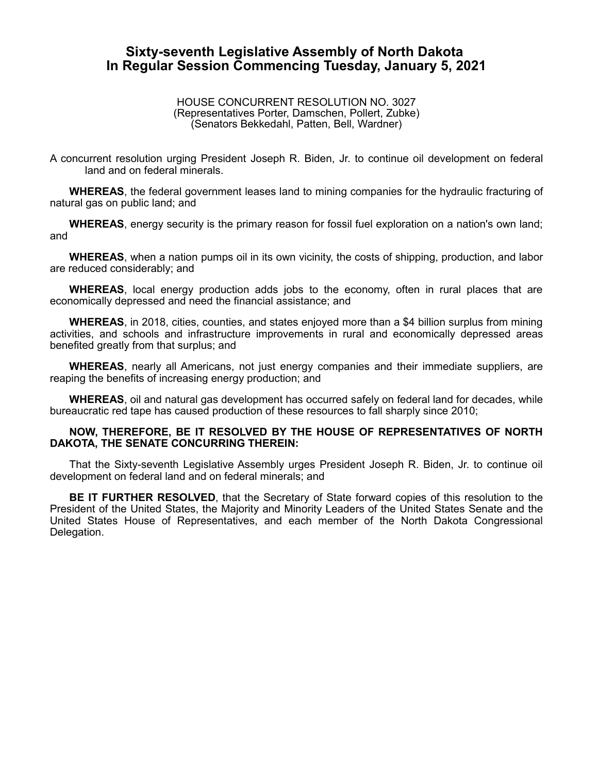## **Sixty-seventh Legislative Assembly of North Dakota In Regular Session Commencing Tuesday, January 5, 2021**

## HOUSE CONCURRENT RESOLUTION NO. 3027 (Representatives Porter, Damschen, Pollert, Zubke) (Senators Bekkedahl, Patten, Bell, Wardner)

A concurrent resolution urging President Joseph R. Biden, Jr. to continue oil development on federal land and on federal minerals.

**WHEREAS**, the federal government leases land to mining companies for the hydraulic fracturing of natural gas on public land; and

**WHEREAS**, energy security is the primary reason for fossil fuel exploration on a nation's own land; and

**WHEREAS**, when a nation pumps oil in its own vicinity, the costs of shipping, production, and labor are reduced considerably; and

**WHEREAS**, local energy production adds jobs to the economy, often in rural places that are economically depressed and need the financial assistance; and

**WHEREAS**, in 2018, cities, counties, and states enjoyed more than a \$4 billion surplus from mining activities, and schools and infrastructure improvements in rural and economically depressed areas benefited greatly from that surplus; and

**WHEREAS**, nearly all Americans, not just energy companies and their immediate suppliers, are reaping the benefits of increasing energy production; and

**WHEREAS**, oil and natural gas development has occurred safely on federal land for decades, while bureaucratic red tape has caused production of these resources to fall sharply since 2010;

## **NOW, THEREFORE, BE IT RESOLVED BY THE HOUSE OF REPRESENTATIVES OF NORTH DAKOTA, THE SENATE CONCURRING THEREIN:**

That the Sixty-seventh Legislative Assembly urges President Joseph R. Biden, Jr. to continue oil development on federal land and on federal minerals; and

**BE IT FURTHER RESOLVED**, that the Secretary of State forward copies of this resolution to the President of the United States, the Majority and Minority Leaders of the United States Senate and the United States House of Representatives, and each member of the North Dakota Congressional Delegation.